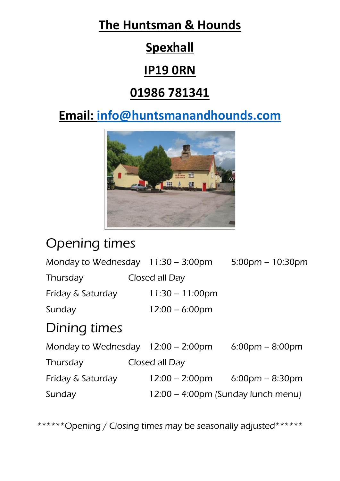### **The Huntsman & Hounds**

# **Spexhall**

#### **IP19 0RN**

#### **01986 781341**

# **Email: [info@huntsmanandhounds.com](mailto:info@huntsmanandhounds.com)**



# Opening times

| Monday to Wednesday $11:30 - 3:00 \text{pm}$ |  |                                          | $5:00 \text{pm} - 10:30 \text{pm}$ |  |  |  |
|----------------------------------------------|--|------------------------------------------|------------------------------------|--|--|--|
| Thursday                                     |  | Closed all Day                           |                                    |  |  |  |
| Friday & Saturday                            |  | $11:30 - 11:00 \text{pm}$                |                                    |  |  |  |
| Sunday                                       |  | $12:00 - 6:00 \text{pm}$                 |                                    |  |  |  |
| Dining times                                 |  |                                          |                                    |  |  |  |
| Monday to Wednesday $12:00 - 2:00 \text{pm}$ |  |                                          | $6:00 \text{pm} - 8:00 \text{pm}$  |  |  |  |
| Thursday                                     |  | Closed all Day                           |                                    |  |  |  |
| Friday & Saturday                            |  | $12:00 - 2:00 \text{pm}$ 6:00pm - 8:30pm |                                    |  |  |  |
| Sunday                                       |  | 12:00 – 4:00pm (Sunday lunch menu)       |                                    |  |  |  |
|                                              |  |                                          |                                    |  |  |  |

\*\*\*\*\*\*\*Opening / Closing times may be seasonally adjusted\*\*\*\*\*\*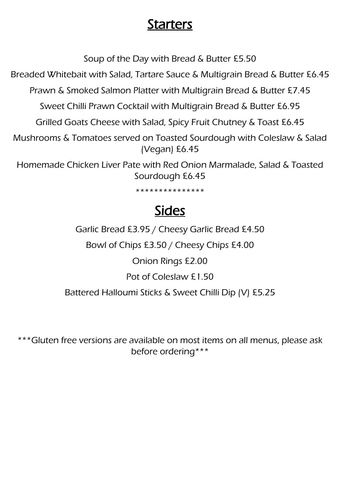#### Starters

Soup of the Day with Bread & Butter £5.50

Breaded Whitebait with Salad, Tartare Sauce & Multigrain Bread & Butter £6.45

Prawn & Smoked Salmon Platter with Multigrain Bread & Butter £7.45

Sweet Chilli Prawn Cocktail with Multigrain Bread & Butter £6.95

Grilled Goats Cheese with Salad, Spicy Fruit Chutney & Toast £6.45

Mushrooms & Tomatoes served on Toasted Sourdough with Coleslaw & Salad (Vegan) £6.45

Homemade Chicken Liver Pate with Red Onion Marmalade, Salad & Toasted Sourdough £6.45

\*\*\*\*\*\*\*\*\*\*\*\*\*\*\*

# Sides

Garlic Bread £3.95 / Cheesy Garlic Bread £4.50

Bowl of Chips £3.50 / Cheesy Chips £4.00

Onion Rings £2.00

Pot of Coleslaw £1.50

Battered Halloumi Sticks & Sweet Chilli Dip (V) £5.25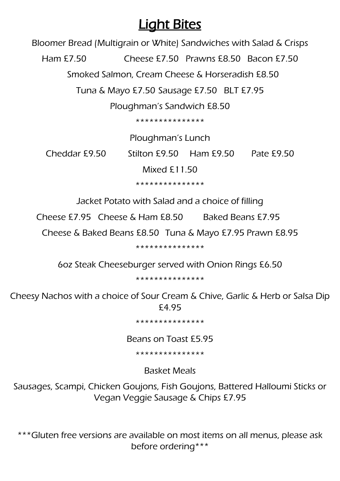#### **Light Bites**

Bloomer Bread (Multigrain or White) Sandwiches with Salad & Crisps

Ham £7.50 Cheese £7.50 Prawns £8.50 Bacon £7.50

Smoked Salmon, Cream Cheese & Horseradish £8.50

Tuna & Mayo £7.50 Sausage £7.50 BLT £7.95

Ploughman's Sandwich £8.50

\*\*\*\*\*\*\*\*\*\*\*\*\*\*\*

Ploughman's Lunch

Cheddar £9.50 Stilton £9.50 Ham £9.50 Pate £9.50

Mixed £11.50

\*\*\*\*\*\*\*\*\*\*\*\*\*\*\*

Jacket Potato with Salad and a choice of filling

Cheese £7.95 Cheese & Ham £8.50 Baked Beans £7.95

Cheese & Baked Beans £8.50 Tuna & Mayo £7.95 Prawn £8.95

\*\*\*\*\*\*\*\*\*\*\*\*\*\*\*

6oz Steak Cheeseburger served with Onion Rings £6.50

\*\*\*\*\*\*\*\*\*\*\*\*\*\*\*

Cheesy Nachos with a choice of Sour Cream & Chive, Garlic & Herb or Salsa Dip £4.95

\*\*\*\*\*\*\*\*\*\*\*\*\*\*\*

Beans on Toast £5.95

\*\*\*\*\*\*\*\*\*\*\*\*\*\*\*

Basket Meals

Sausages, Scampi, Chicken Goujons, Fish Goujons, Battered Halloumi Sticks or Vegan Veggie Sausage & Chips £7.95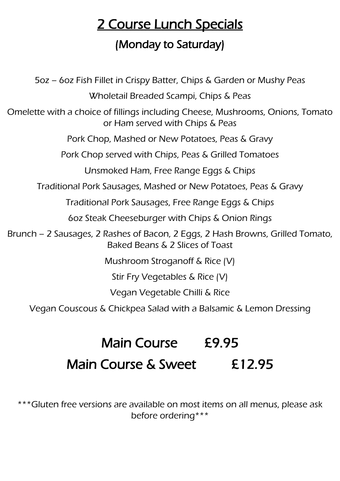# 2 Course Lunch Specials

#### (Monday to Saturday)

5oz – 6oz Fish Fillet in Crispy Batter, Chips & Garden or Mushy Peas Wholetail Breaded Scampi, Chips & Peas Omelette with a choice of fillings including Cheese, Mushrooms, Onions, Tomato or Ham served with Chips & Peas Pork Chop, Mashed or New Potatoes, Peas & Gravy Pork Chop served with Chips, Peas & Grilled Tomatoes Unsmoked Ham, Free Range Eggs & Chips Traditional Pork Sausages, Mashed or New Potatoes, Peas & Gravy Traditional Pork Sausages, Free Range Eggs & Chips 6oz Steak Cheeseburger with Chips & Onion Rings Brunch – 2 Sausages, 2 Rashes of Bacon, 2 Eggs, 2 Hash Browns, Grilled Tomato, Baked Beans & 2 Slices of Toast Mushroom Stroganoff & Rice (V) Stir Fry Vegetables & Rice (V) Vegan Vegetable Chilli & Rice Vegan Couscous & Chickpea Salad with a Balsamic & Lemon Dressing

# Main Course £9.95 Main Course & Sweet £12.95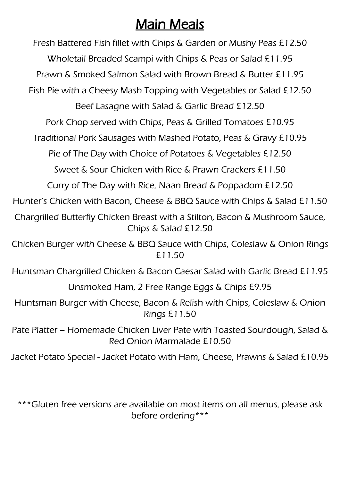# Main Meals

Fresh Battered Fish fillet with Chips & Garden or Mushy Peas £12.50 Wholetail Breaded Scampi with Chips & Peas or Salad £11.95 Prawn & Smoked Salmon Salad with Brown Bread & Butter £11.95 Fish Pie with a Cheesy Mash Topping with Vegetables or Salad £12.50 Beef Lasagne with Salad & Garlic Bread £12.50 Pork Chop served with Chips, Peas & Grilled Tomatoes £10.95 Traditional Pork Sausages with Mashed Potato, Peas & Gravy £10.95 Pie of The Day with Choice of Potatoes & Vegetables £12.50 Sweet & Sour Chicken with Rice & Prawn Crackers £11.50 Curry of The Day with Rice, Naan Bread & Poppadom £12.50 Hunter's Chicken with Bacon, Cheese & BBQ Sauce with Chips & Salad £11.50 Chargrilled Butterfly Chicken Breast with a Stilton, Bacon & Mushroom Sauce, Chips & Salad £12.50 Chicken Burger with Cheese & BBQ Sauce with Chips, Coleslaw & Onion Rings £11.50 Huntsman Chargrilled Chicken & Bacon Caesar Salad with Garlic Bread £11.95 Unsmoked Ham, 2 Free Range Eggs & Chips £9.95 Huntsman Burger with Cheese, Bacon & Relish with Chips, Coleslaw & Onion Rings £11.50 Pate Platter – Homemade Chicken Liver Pate with Toasted Sourdough, Salad & Red Onion Marmalade £10.50 Jacket Potato Special - Jacket Potato with Ham, Cheese, Prawns & Salad £10.95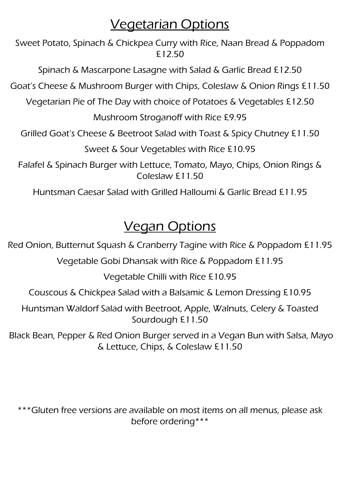#### Vegetarian Options

Sweet Potato, Spinach & Chickpea Curry with Rice, Naan Bread & Poppadom £12.50

Spinach & Mascarpone Lasagne with Salad & Garlic Bread £12.50

Goat's Cheese & Mushroom Burger with Chips, Coleslaw & Onion Rings £11.50

Vegetarian Pie of The Day with choice of Potatoes & Vegetables £12.50

Mushroom Stroganoff with Rice £9.95

Grilled Goat's Cheese & Beetroot Salad with Toast & Spicy Chutney £11.50

Sweet & Sour Vegetables with Rice £10.95

Falafel & Spinach Burger with Lettuce, Tomato, Mayo, Chips, Onion Rings & Coleslaw £11.50

Huntsman Caesar Salad with Grilled Halloumi & Garlic Bread £11.95

# Vegan Options

Red Onion, Butternut Squash & Cranberry Tagine with Rice & Poppadom £11.95

Vegetable Gobi Dhansak with Rice & Poppadom £11.95

Vegetable Chilli with Rice £10.95

Couscous & Chickpea Salad with a Balsamic & Lemon Dressing £10.95

Huntsman Waldorf Salad with Beetroot, Apple, Walnuts, Celery & Toasted Sourdough £11.50

Black Bean, Pepper & Red Onion Burger served in a Vegan Bun with Salsa, Mayo & Lettuce, Chips, & Coleslaw £11.50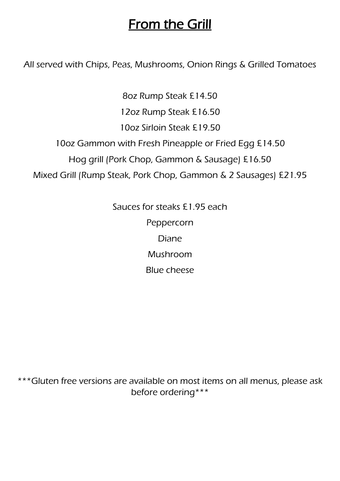### From the Grill

All served with Chips, Peas, Mushrooms, Onion Rings & Grilled Tomatoes

8oz Rump Steak £14.50 12oz Rump Steak £16.50 10oz Sirloin Steak £19.50 10oz Gammon with Fresh Pineapple or Fried Egg £14.50 Hog grill (Pork Chop, Gammon & Sausage) £16.50 Mixed Grill (Rump Steak, Pork Chop, Gammon & 2 Sausages) £21.95

> Sauces for steaks £1.95 each Peppercorn Diane Mushroom Blue cheese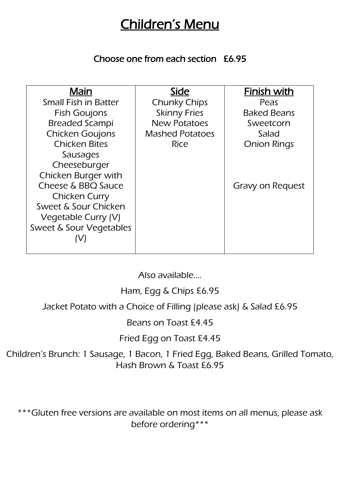### Children's Menu

#### Choose one from each section £6.95

| Main                        | Side                   | <b>Finish with</b>      |
|-----------------------------|------------------------|-------------------------|
| <b>Small Fish in Batter</b> | <b>Chunky Chips</b>    | Peas                    |
| <b>Fish Goujons</b>         | <b>Skinny Fries</b>    | <b>Baked Beans</b>      |
| <b>Breaded Scampi</b>       | <b>New Potatoes</b>    | Sweetcorn               |
| <b>Chicken Goujons</b>      | <b>Mashed Potatoes</b> | Salad                   |
| <b>Chicken Bites</b>        | Rice                   | <b>Onion Rings</b>      |
| Sausages                    |                        |                         |
| Cheeseburger                |                        |                         |
| Chicken Burger with         |                        |                         |
| Cheese & BBQ Sauce          |                        | <b>Gravy on Request</b> |
| <b>Chicken Curry</b>        |                        |                         |
| Sweet & Sour Chicken        |                        |                         |
| Vegetable Curry (V)         |                        |                         |
| Sweet & Sour Vegetables     |                        |                         |
|                             |                        |                         |
|                             |                        |                         |

Also available….

Ham, Egg & Chips £6.95

Jacket Potato with a Choice of Filling (please ask) & Salad £6.95

Beans on Toast £4.45

Fried Egg on Toast £4.45

Children's Brunch: 1 Sausage, 1 Bacon, 1 Fried Egg, Baked Beans, Grilled Tomato, Hash Brown & Toast £6.95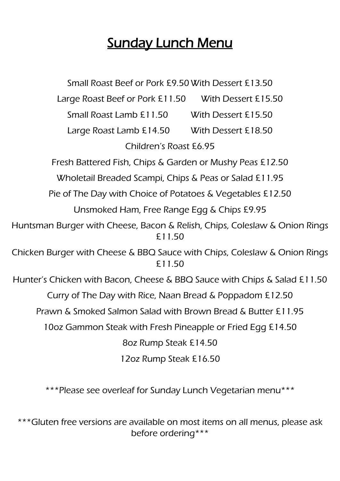# **Sunday Lunch Menu**

Small Roast Beef or Pork £9.50 With Dessert £13.50 Large Roast Beef or Pork £11.50 With Dessert £15.50 Small Roast Lamb £11.50 With Dessert £15.50 Large Roast Lamb £14.50 With Dessert £18.50 Children's Roast £6.95 Fresh Battered Fish, Chips & Garden or Mushy Peas £12.50 Wholetail Breaded Scampi, Chips & Peas or Salad £11.95 Pie of The Day with Choice of Potatoes & Vegetables £12.50 Unsmoked Ham, Free Range Egg & Chips £9.95 Huntsman Burger with Cheese, Bacon & Relish, Chips, Coleslaw & Onion Rings £11.50 Chicken Burger with Cheese & BBQ Sauce with Chips, Coleslaw & Onion Rings £11.50 Hunter's Chicken with Bacon, Cheese & BBQ Sauce with Chips & Salad £11.50 Curry of The Day with Rice, Naan Bread & Poppadom £12.50 Prawn & Smoked Salmon Salad with Brown Bread & Butter £11.95 10oz Gammon Steak with Fresh Pineapple or Fried Egg £14.50 8oz Rump Steak £14.50 12oz Rump Steak £16.50

\*\*\*Please see overleaf for Sunday Lunch Vegetarian menu\*\*\*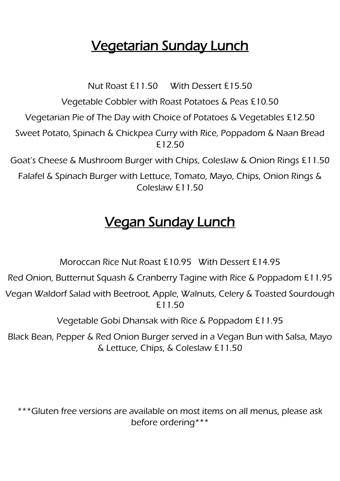# Vegetarian Sunday Lunch

Nut Roast £11.50 With Dessert £15.50

Vegetable Cobbler with Roast Potatoes & Peas £10.50

Vegetarian Pie of The Day with Choice of Potatoes & Vegetables £12.50

Sweet Potato, Spinach & Chickpea Curry with Rice, Poppadom & Naan Bread £12.50

Goat's Cheese & Mushroom Burger with Chips, Coleslaw & Onion Rings £11.50

Falafel & Spinach Burger with Lettuce, Tomato, Mayo, Chips, Onion Rings & Coleslaw £11.50

# Vegan Sunday Lunch

Moroccan Rice Nut Roast £10.95 With Dessert £14.95

Red Onion, Butternut Squash & Cranberry Tagine with Rice & Poppadom £11.95

Vegan Waldorf Salad with Beetroot, Apple, Walnuts, Celery & Toasted Sourdough £11.50

Vegetable Gobi Dhansak with Rice & Poppadom £11.95

Black Bean, Pepper & Red Onion Burger served in a Vegan Bun with Salsa, Mayo & Lettuce, Chips, & Coleslaw £11.50